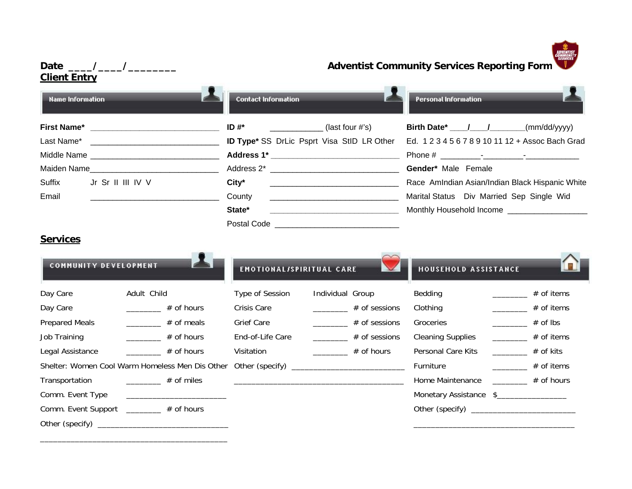

# **Date \_\_\_\_/\_\_\_\_/\_\_\_\_\_\_\_\_ Adventist Community Services Reporting Form Client Entry Contact Information Personal Information Name Information First Name\* Example 3 and Secure 1 and Secure 1 and Secure 1 and Secure 4 and Secure 2 and Secure 2 and Secure 2 and Secure 2 and Secure 2 and Secure 2 and Secure 2 and Secure 2 and Secure 2 and Secure 2 and Secure 2 an** Last Name\* \_\_\_\_\_\_\_\_\_\_\_\_\_\_\_\_\_\_\_\_\_\_\_\_\_\_\_\_\_ **ID Type\*** SS DrLic Psprt Visa StID LR Other Ed. 1 2 3 4 5 6 7 8 9 10 11 12 + Assoc Bach Grad Middle Name \_\_\_\_\_\_\_\_\_\_\_\_\_\_\_\_\_\_\_\_\_\_\_\_\_\_\_\_\_ **Address 1\* \_\_\_\_\_\_\_\_\_\_\_\_\_\_\_\_\_\_\_\_\_\_\_\_\_\_\_\_\_** Phone # \_\_\_\_\_\_\_\_\_-\_\_\_\_\_\_\_\_\_-\_\_\_\_\_\_\_\_\_\_\_\_ Maiden Name **Name Maiden Name Example 2\*** Address 2\* **\_\_\_\_\_\_\_\_\_\_\_\_\_\_\_\_\_\_\_\_\_\_\_\_\_\_\_\_ Gender**\* Male Female Suffix Jr Sr II III IV V **City<sup>\*</sup>** City<sup>\*</sup> City<sup>a</sup> **City**<sup>\*</sup> Race AmIndian Asian/Indian Black Hispanic White Email \_\_\_\_\_\_\_\_\_\_\_\_\_\_\_\_\_\_\_\_\_\_\_\_\_\_\_\_\_ County \_\_\_\_\_\_\_\_\_\_\_\_\_\_\_\_\_\_\_\_\_\_\_\_\_\_\_\_\_ Marital Status Div Married Sep Single Wid State\* **State\* State and Conserverse Conserverse Conserverse Conserverse Conserverse Conserverse Conserverse Conserverse Conserverse Conserverse Conserverse Conserverse Conserverse Conserverse Conserverse Conserverse Con**  Postal Code \_\_\_\_\_\_\_\_\_\_\_\_\_\_\_\_\_\_\_\_\_\_\_\_\_\_\_\_ **ServicesCOMMUNITY DEVELOPMENT EMOTIONAL/SPIRITUAL CARE HOUSEHOLD ASSISTANCE** Day Care and Adult Child Type of Session Individual Group Bedding and The Hof items Day Care  $\begin{array}{ccccccccccccccccc}\n\end{array}$   $\begin{array}{ccccccccccccc}\n\end{array}$  # of hours Crisis Care  $\begin{array}{ccccccccccccc}\n\end{array}$  # of sessions Clothing  $\begin{array}{ccccccccccccc}\n\end{array}$  # of items Prepared Meals \_\_\_\_\_\_\_ # of meals Grief Care \_\_\_\_\_\_ # of sessions Groceries \_\_\_\_\_ # of lbs Job Training \_\_\_\_\_\_\_\_ # of hours Lind-of-Life Care \_\_\_\_\_\_\_ # of sessions Cleaning Supplies \_\_\_\_\_\_\_ # of items

Legal Assistance **EXECUTE:** # of hours Visitation Visitation **Wiskell Assistance** # of kits Allegal Assistance # of kits Shelter: Women Cool Warm Homeless Men Dis Other Other (specify) \_\_\_\_\_\_\_\_\_\_\_\_\_\_\_\_\_\_\_\_\_\_\_\_\_\_ Furniture \_\_\_\_\_\_\_\_ # of items Transportation \_\_\_\_\_\_\_\_ # of miles \_\_\_\_\_\_\_\_\_\_\_\_\_\_\_\_\_\_\_\_\_\_\_\_\_\_\_\_\_\_\_\_\_\_\_\_\_\_\_ Home Maintenance \_\_\_\_\_\_\_\_ # of hours Comm. Event Type \_\_\_\_\_\_\_\_\_\_\_\_\_\_\_\_\_\_\_\_\_\_\_ Monetary Assistance \$\_\_\_\_\_\_\_\_\_\_\_\_\_\_\_\_ Comm. Event Support \_\_\_\_\_\_\_ # of hours <br>
Comm. Event Support \_\_\_\_\_\_\_ # of hours <br>
Comm. Event Support \_\_\_\_\_\_\_ # of hours <br>
Commeters and the set of the set of the set of the set of the set of the set of the set of the set

Other (specify) \_\_\_\_\_\_\_\_\_\_\_\_\_\_\_\_\_\_\_\_\_\_\_\_\_\_\_\_\_\_ \_\_\_\_\_\_\_\_\_\_\_\_\_\_\_\_\_\_\_\_\_\_\_\_\_\_\_\_\_\_\_\_\_\_\_\_\_

\_\_\_\_\_\_\_\_\_\_\_\_\_\_\_\_\_\_\_\_\_\_\_\_\_\_\_\_\_\_\_\_\_\_\_\_\_\_\_\_\_\_\_